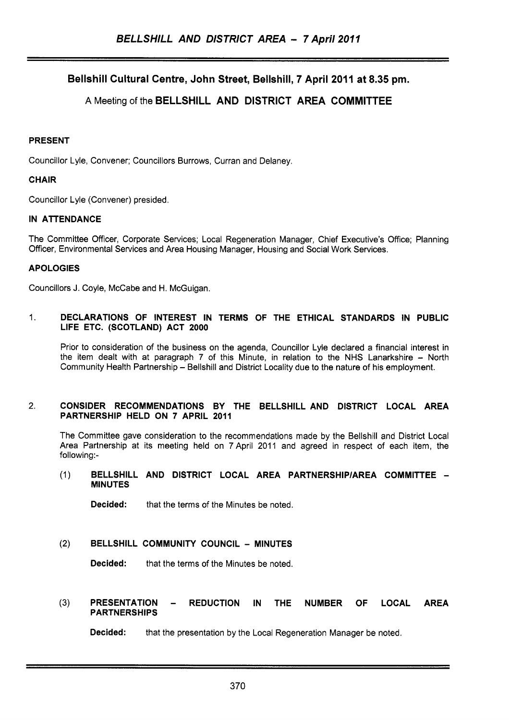**Bellshill Cultural Centre, John Street, Bellshill, 7 April 2011 at 8.35 pm.** 

## **A** Meeting of the **BELLSHILL AND DISTRICT AREA COMMITTEE**

## **PRESENT**

Councillor Lyle, Convener; Councillors Burrows, Curran and Delaney.

## **CHAIR**

Councillor Lyle (Convener) presided.

## **IN ATTENDANCE**

The Committee Officer, Corporate Services; Local Regeneration Manager, Chief Executive's Office; Planning Officer, Environmental Services and Area Housing Manager, Housing and Social Work Services.

## **APOLOGIES**

Councillors J. Coyle, McCabe and H. McGuigan.

#### 1. **DECLARATIONS OF INTEREST IN TERMS OF THE ETHICAL STANDARDS IN PUBLIC LIFE ETC. (SCOTLAND) ACT 2000**

Prior to consideration of the business on the agenda, Councillor Lyle declared a financial interest in the item dealt with at paragraph  $7$  of this Minute, in relation to the NHS Lanarkshire  $-$  North Community Health Partnership - Bellshill and District Locality due to the nature of his employment.

#### 2. **CONSIDER RECOMMENDATIONS BY THE BELLSHILL AND DISTRICT LOCAL AREA PARTNERSHIP HELD ON 7 APRIL 2011**

The Committee gave consideration to the recommendations made by the Bellshill and District Local Area Partnership at its meeting held on 7April 2011 and agreed in respect of each item, the following:-

(1) **BELLSHILL AND DISTRICT LOCAL AREA PARTNERSHlPlAREA COMMITTEE** - **MINUTES** 

**Decided:** that the terms of the Minutes be noted.

#### **(2) BELLSHILL COMMUNITY COUNCIL** - **MINUTES**

**Decided:** that the terms of the Minutes be noted.

# **(3) PRESENTATION** - **REDUCTION IN THE NUMBER OF LOCAL AREA PARTNERSHIPS**

**Decided:** that the presentation by the Local Regeneration Manager be noted.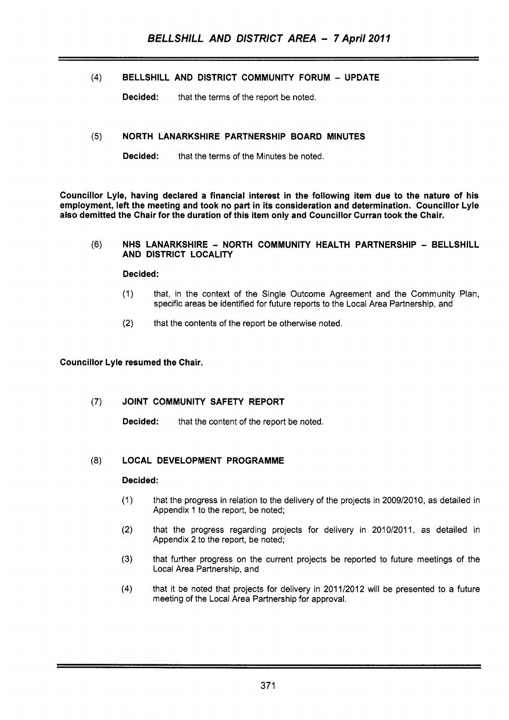## **(4)** BELLSHILL AND DISTRICT COMMUNITY FORUM - UPDATE

~ ~ ~~ ~ ~~~~~~

**Decided:** that the terms of the report be noted.

## **(5)** NORTH LANARKSHIRE PARTNERSHIP BOARD MINUTES

Decided: that the terms of the Minutes be noted.

Councillor Lyle, having declared a financial interest in the following item due to the nature of his employment, left the meeting and took no part in its consideration and determination. Councillor Lyle also demitted the Chair for the duration of this item only and Councillor Curran took the Chair.

#### **(6)** NHS LANARKSHIRE - NORTH COMMUNITY HEALTH PARTNERSHIP - BELLSHILL AND DISTRICT LOCALITY

#### Decided:

- (1) that, in the context of the Single Outcome Agreement and the Community Plan, specific areas be identified for future reports to the Local Area Partnership, and
- (2) that the contents of the report be otherwise noted.

## Councillor Lyle resumed the Chair.

## (7) JOINT COMMUNITY SAFETY REPORT

Decided: that the content of the report be noted.

## (8) LOCAL DEVELOPMENT PROGRAMME

#### Decided:

- (1) that the progress in relation to the delivery of the projects in 2009/2010, as detailed in Appendix 1 to the report, be noted;
- (2) that the progress regarding projects for delivery in 2010/2011, as detailed in Appendix 2 to the report, be noted;
- **(3)** that further progress on the current projects be reported to future meetings of the Local Area Partnership, and
- **(4)** that it be noted that projects for delivery in 201 1/2012 will be presented to a future meeting of the Local Area Partnership for approval.